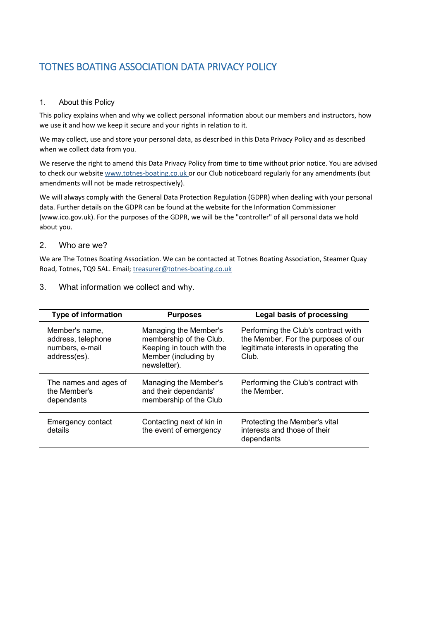# TOTNES BOATING ASSOCIATION DATA PRIVACY POLICY

#### 1. About this Policy

This policy explains when and why we collect personal information about our members and instructors, how we use it and how we keep it secure and your rights in relation to it.

We may collect, use and store your personal data, as described in this Data Privacy Policy and as described when we collect data from you.

We reserve the right to amend this Data Privacy Policy from time to time without prior notice. You are advised to check our websit[e www.totnes-boating.co.uk](http://www.totnes-boating.co.uk/) or our Club noticeboard regularly for any amendments (but amendments will not be made retrospectively).

We will always comply with the General Data Protection Regulation (GDPR) when dealing with your personal data. Further details on the GDPR can be found at the website for the Information Commissioner (www.ico.gov.uk). For the purposes of the GDPR, we will be the "controller" of all personal data we hold about you.

#### 2. Who are we?

We are The Totnes Boating Association. We can be contacted at Totnes Boating Association, Steamer Quay Road, Totnes, TQ9 5AL. Email; [treasurer@totnes-boating.co.uk](mailto:treasurer@totnes-boating.co.uk)

| <b>Type of information</b>                                              | <b>Purposes</b>                                                                                                       | Legal basis of processing                                                                                                    |
|-------------------------------------------------------------------------|-----------------------------------------------------------------------------------------------------------------------|------------------------------------------------------------------------------------------------------------------------------|
| Member's name,<br>address, telephone<br>numbers, e-mail<br>address(es). | Managing the Member's<br>membership of the Club.<br>Keeping in touch with the<br>Member (including by<br>newsletter). | Performing the Club's contract with<br>the Member. For the purposes of our<br>legitimate interests in operating the<br>Club. |
| The names and ages of<br>the Member's<br>dependants                     | Managing the Member's<br>and their dependants'<br>membership of the Club                                              | Performing the Club's contract with<br>the Member.                                                                           |
| Emergency contact<br>details                                            | Contacting next of kin in<br>the event of emergency                                                                   | Protecting the Member's vital<br>interests and those of their<br>dependants                                                  |

3. What information we collect and why.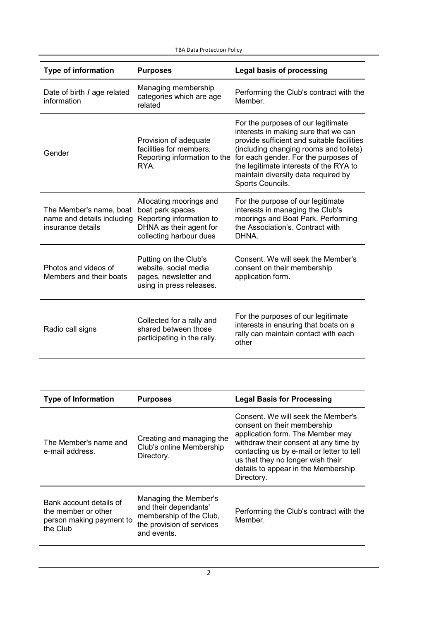TBA Data Protection Policy

| <b>Type of information</b>                                                 | <b>Purposes</b>                                                                                                                | <b>Legal basis of processing</b>                                                                                                                                                                                                                                                                                |
|----------------------------------------------------------------------------|--------------------------------------------------------------------------------------------------------------------------------|-----------------------------------------------------------------------------------------------------------------------------------------------------------------------------------------------------------------------------------------------------------------------------------------------------------------|
| Date of birth / age related<br>information                                 | Managing membership<br>categories which are age<br>related                                                                     | Performing the Club's contract with the<br>Member.                                                                                                                                                                                                                                                              |
| Gender                                                                     | Provision of adequate<br>facilities for members.<br>Reporting information to the<br>RYA.                                       | For the purposes of our legitimate<br>interests in making sure that we can<br>provide sufficient and suitable facilities<br>(including changing rooms and toilets)<br>for each gender. For the purposes of<br>the legitimate interests of the RYA to<br>maintain diversity data required by<br>Sports Councils. |
| The Member's name, boat<br>name and details including<br>insurance details | Allocating moorings and<br>boat park spaces.<br>Reporting information to<br>DHNA as their agent for<br>collecting harbour dues | For the purpose of our legitimate<br>interests in managing the Club's<br>moorings and Boat Park. Performing<br>the Association's, Contract with<br>DHNA.                                                                                                                                                        |
| Photos and videos of<br>Members and their boats                            | Putting on the Club's<br>website, social media<br>pages, newsletter and<br>using in press releases.                            | Consent. We will seek the Member's<br>consent on their membership<br>application form.                                                                                                                                                                                                                          |
| Radio call signs                                                           | Collected for a rally and<br>shared between those<br>participating in the rally.                                               | For the purposes of our legitimate<br>interests in ensuring that boats on a<br>rally can maintain contact with each<br>other                                                                                                                                                                                    |

| <b>Type of Information</b>                                                             | <b>Purposes</b>                                                                                                       | <b>Legal Basis for Processing</b>                                                                                                                                                                                                                                                     |
|----------------------------------------------------------------------------------------|-----------------------------------------------------------------------------------------------------------------------|---------------------------------------------------------------------------------------------------------------------------------------------------------------------------------------------------------------------------------------------------------------------------------------|
| The Member's name and<br>e-mail address.                                               | Creating and managing the<br>Club's online Membership<br>Directory.                                                   | Consent. We will seek the Member's<br>consent on their membership<br>application form. The Member may<br>withdraw their consent at any time by<br>contacting us by e-mail or letter to tell<br>us that they no longer wish their<br>details to appear in the Membership<br>Directory. |
| Bank account details of<br>the member or other<br>person making payment to<br>the Club | Managing the Member's<br>and their dependants'<br>membership of the Club,<br>the provision of services<br>and events. | Performing the Club's contract with the<br>Member.                                                                                                                                                                                                                                    |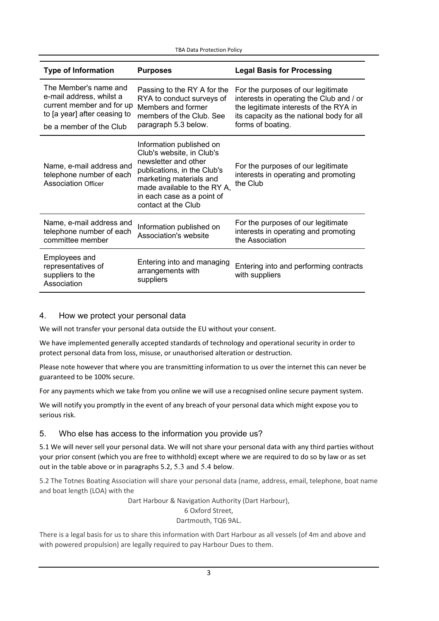TBA Data Protection Policy

| <b>Type of Information</b>                                                                                                                | <b>Purposes</b>                                                                                                                                                                                                             | <b>Legal Basis for Processing</b>                                                                                                                                                          |
|-------------------------------------------------------------------------------------------------------------------------------------------|-----------------------------------------------------------------------------------------------------------------------------------------------------------------------------------------------------------------------------|--------------------------------------------------------------------------------------------------------------------------------------------------------------------------------------------|
| The Member's name and<br>e-mail address, whilst a<br>current member and for up<br>to [a year] after ceasing to<br>be a member of the Club | Passing to the RY A for the<br>RYA to conduct surveys of<br>Members and former<br>members of the Club. See<br>paragraph 5.3 below.                                                                                          | For the purposes of our legitimate<br>interests in operating the Club and / or<br>the legitimate interests of the RYA in<br>its capacity as the national body for all<br>forms of boating. |
| Name, e-mail address and<br>telephone number of each<br><b>Association Officer</b>                                                        | Information published on<br>Club's website, in Club's<br>newsletter and other<br>publications, in the Club's<br>marketing materials and<br>made available to the RY A,<br>in each case as a point of<br>contact at the Club | For the purposes of our legitimate<br>interests in operating and promoting<br>the Club                                                                                                     |
| Name, e-mail address and<br>telephone number of each<br>committee member                                                                  | Information published on<br>Association's website                                                                                                                                                                           | For the purposes of our legitimate<br>interests in operating and promoting<br>the Association                                                                                              |
| Employees and<br>representatives of<br>suppliers to the<br>Association                                                                    | Entering into and managing<br>arrangements with<br>suppliers                                                                                                                                                                | Entering into and performing contracts<br>with suppliers                                                                                                                                   |

# 4. How we protect your personal data

We will not transfer your personal data outside the EU without your consent.

We have implemented generally accepted standards of technology and operational security in order to protect personal data from loss, misuse, or unauthorised alteration or destruction.

Please note however that where you are transmitting information to us over the internet this can never be guaranteed to be 100% secure.

For any payments which we take from you online we will use a recognised online secure payment system.

We will notify you promptly in the event of any breach of your personal data which might expose you to serious risk.

## 5. Who else has access to the information you provide us?

5.1 We will never sell your personal data. We will not share your personal data with any third parties without your prior consent (which you are free to withhold) except where we are required to do so by law or as set out in the table above or in paragraphs 5.2, 5.3 and 5.4 below.

5.2 The Totnes Boating Association will share your personal data (name, address, email, telephone, boat name and boat length (LOA) with the

Dart Harbour & Navigation Authority (Dart Harbour),

# 6 Oxford Street,

Dartmouth, TQ6 9AL.

There is a legal basis for us to share this information with Dart Harbour as all vessels (of 4m and above and with powered propulsion) are legally required to pay Harbour Dues to them.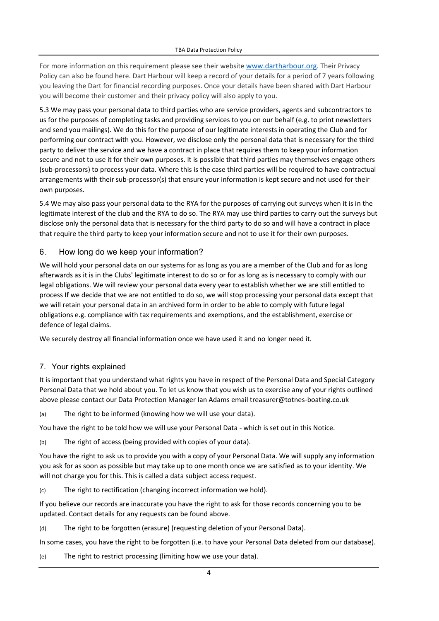For more information on this requirement please see their website [www.dartharbour.org.](http://www.dartharbour.org/) Their Privacy Policy can also be found here. Dart Harbour will keep a record of your details for a period of 7 years following you leaving the Dart for financial recording purposes. Once your details have been shared with Dart Harbour you will become their customer and their privacy policy will also apply to you.

5.3 We may pass your personal data to third parties who are service providers, agents and subcontractors to us for the purposes of completing tasks and providing services to you on our behalf (e.g. to print newsletters and send you mailings). We do this for the purpose of our legitimate interests in operating the Club and for performing our contract with you. However, we disclose only the personal data that is necessary for the third party to deliver the service and we have a contract in place that requires them to keep your information secure and not to use it for their own purposes. It is possible that third parties may themselves engage others (sub-processors) to process your data. Where this is the case third parties will be required to have contractual arrangements with their sub-processor(s) that ensure your information is kept secure and not used for their own purposes.

5.4 We may also pass your personal data to the RYA for the purposes of carrying out surveys when it is in the legitimate interest of the club and the RYA to do so. The RYA may use third parties to carry out the surveys but disclose only the personal data that is necessary for the third party to do so and will have a contract in place that require the third party to keep your information secure and not to use it for their own purposes.

## 6. How long do we keep your information?

We will hold your personal data on our systems for as long as you are a member of the Club and for as long afterwards as it is in the Clubs' legitimate interest to do so or for as long as is necessary to comply with our legal obligations. We will review your personal data every year to establish whether we are still entitled to process If we decide that we are not entitled to do so, we will stop processing your personal data except that we will retain your personal data in an archived form in order to be able to comply with future legal obligations e.g. compliance with tax requirements and exemptions, and the establishment, exercise or defence of legal claims.

We securely destroy all financial information once we have used it and no longer need it.

#### 7. Your rights explained

It is important that you understand what rights you have in respect of the Personal Data and Special Category Personal Data that we hold about you. To let us know that you wish us to exercise any of your rights outlined above please contact our Data Protection Manager Ian Adams email treasurer@totnes-boating.co.uk

(a) The right to be informed (knowing how we will use your data).

You have the right to be told how we will use your Personal Data - which is set out in this Notice.

(b) The right of access (being provided with copies of your data).

You have the right to ask us to provide you with a copy of your Personal Data. We will supply any information you ask for as soon as possible but may take up to one month once we are satisfied as to your identity. We will not charge you for this. This is called a data subject access request.

(c) The right to rectification (changing incorrect information we hold).

If you believe our records are inaccurate you have the right to ask for those records concerning you to be updated. Contact details for any requests can be found above.

(d) The right to be forgotten (erasure) (requesting deletion of your Personal Data).

In some cases, you have the right to be forgotten (i.e. to have your Personal Data deleted from our database).

(e) The right to restrict processing (limiting how we use your data).